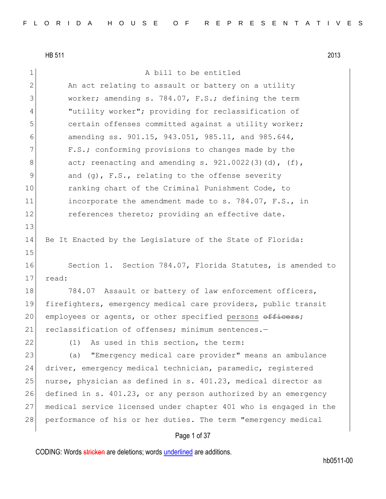1 a bill to be entitled

2 An act relating to assault or battery on a utility 3 worker; amending s. 784.07, F.S.; defining the term 4 "utility worker"; providing for reclassification of 5 **Superse**: certain offenses committed against a utility worker; 6 amending ss. 901.15, 943.051, 985.11, and 985.644, 7 F.S.; conforming provisions to changes made by the  $8$  act; reenacting and amending s. 921.0022(3)(d), (f), 9 and (g), F.S., relating to the offense severity 10 ranking chart of the Criminal Punishment Code, to 11 incorporate the amendment made to s. 784.07, F.S., in 12 references thereto; providing an effective date. 13

14 Be It Enacted by the Legislature of the State of Florida:

16 Section 1. Section 784.07, Florida Statutes, is amended to 17 read:

18 784.07 Assault or battery of law enforcement officers, 19 firefighters, emergency medical care providers, public transit 20 employees or agents, or other specified persons officers; 21 reclassification of offenses; minimum sentences.-

15

22 (1) As used in this section, the term:

23 (a) "Emergency medical care provider" means an ambulance 24 driver, emergency medical technician, paramedic, registered 25 nurse, physician as defined in s. 401.23, medical director as 26 defined in s. 401.23, or any person authorized by an emergency 27 medical service licensed under chapter 401 who is engaged in the 28 performance of his or her duties. The term "emergency medical

### Page 1 of 37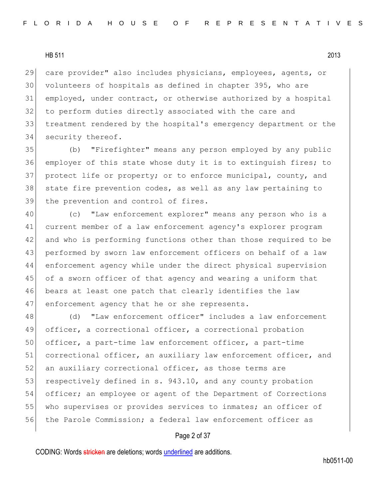care provider" also includes physicians, employees, agents, or volunteers of hospitals as defined in chapter 395, who are employed, under contract, or otherwise authorized by a hospital 32 to perform duties directly associated with the care and treatment rendered by the hospital's emergency department or the 34 security thereof.

35 (b) "Firefighter" means any person employed by any public 36 employer of this state whose duty it is to extinguish fires; to 37 protect life or property; or to enforce municipal, county, and 38 state fire prevention codes, as well as any law pertaining to 39 the prevention and control of fires.

 (c) "Law enforcement explorer" means any person who is a current member of a law enforcement agency's explorer program and who is performing functions other than those required to be performed by sworn law enforcement officers on behalf of a law enforcement agency while under the direct physical supervision 45 of a sworn officer of that agency and wearing a uniform that 46 bears at least one patch that clearly identifies the law 47 enforcement agency that he or she represents.

48 (d) "Law enforcement officer" includes a law enforcement 49 officer, a correctional officer, a correctional probation 50 officer, a part-time law enforcement officer, a part-time 51 correctional officer, an auxiliary law enforcement officer, and 52 an auxiliary correctional officer, as those terms are 53 respectively defined in s. 943.10, and any county probation 54 officer; an employee or agent of the Department of Corrections 55 who supervises or provides services to inmates; an officer of 56 the Parole Commission; a federal law enforcement officer as

## Page 2 of 37

CODING: Words stricken are deletions; words underlined are additions.

hb0511-00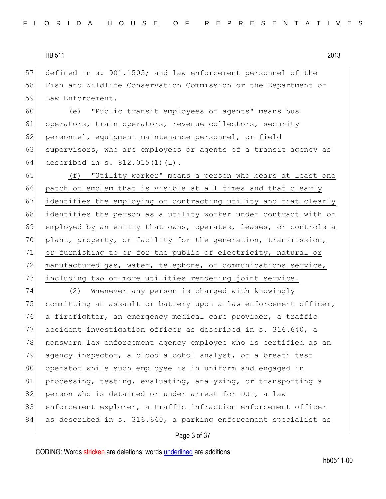57 defined in s. 901.1505; and law enforcement personnel of the 58 Fish and Wildlife Conservation Commission or the Department of 59 Law Enforcement.

60 (e) "Public transit employees or agents" means bus 61 operators, train operators, revenue collectors, security 62 personnel, equipment maintenance personnel, or field 63 supervisors, who are employees or agents of a transit agency as 64 described in s. 812.015(1)(l).

65 (f) "Utility worker" means a person who bears at least one 66 patch or emblem that is visible at all times and that clearly 67 identifies the employing or contracting utility and that clearly 68 identifies the person as a utility worker under contract with or 69 employed by an entity that owns, operates, leases, or controls a 70 plant, property, or facility for the generation, transmission, 71 or furnishing to or for the public of electricity, natural or 72 manufactured gas, water, telephone, or communications service, 73 including two or more utilities rendering joint service.

74 (2) Whenever any person is charged with knowingly 75 committing an assault or battery upon a law enforcement officer, 76 a firefighter, an emergency medical care provider, a traffic 77 accident investigation officer as described in s. 316.640, a 78 nonsworn law enforcement agency employee who is certified as an 79 agency inspector, a blood alcohol analyst, or a breath test 80 operator while such employee is in uniform and engaged in 81 processing, testing, evaluating, analyzing, or transporting a 82 person who is detained or under arrest for DUI, a law 83 enforcement explorer, a traffic infraction enforcement officer 84 as described in s. 316.640, a parking enforcement specialist as

#### Page 3 of 37

CODING: Words stricken are deletions; words underlined are additions.

hb0511-00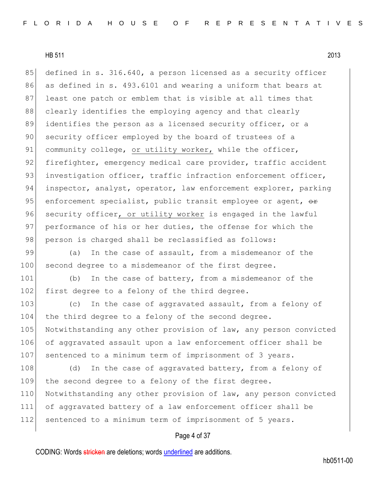85 defined in s. 316.640, a person licensed as a security officer 86 as defined in s. 493.6101 and wearing a uniform that bears at 87 least one patch or emblem that is visible at all times that 88 clearly identifies the employing agency and that clearly 89 identifies the person as a licensed security officer, or a 90 security officer employed by the board of trustees of a 91 community college, or utility worker, while the officer, 92 firefighter, emergency medical care provider, traffic accident 93 investigation officer, traffic infraction enforcement officer, 94 inspector, analyst, operator, law enforcement explorer, parking 95 enforcement specialist, public transit employee or agent,  $\theta$ 96 security officer, or utility worker is engaged in the lawful 97 | performance of his or her duties, the offense for which the 98 person is charged shall be reclassified as follows:

99 (a) In the case of assault, from a misdemeanor of the 100 second degree to a misdemeanor of the first degree.

101 (b) In the case of battery, from a misdemeanor of the 102 first degree to a felony of the third degree.

103 (c) In the case of aggravated assault, from a felony of 104 the third degree to a felony of the second degree. 105 Notwithstanding any other provision of law, any person convicted 106 of aggravated assault upon a law enforcement officer shall be 107 sentenced to a minimum term of imprisonment of 3 years.

108 (d) In the case of aggravated battery, from a felony of 109 the second degree to a felony of the first degree. 110 Notwithstanding any other provision of law, any person convicted 111 of aggravated battery of a law enforcement officer shall be 112 sentenced to a minimum term of imprisonment of 5 years.

## Page 4 of 37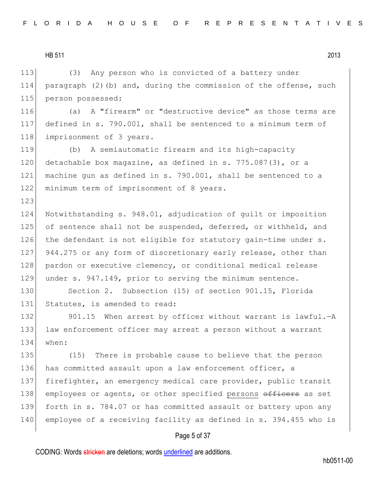123

113 (3) Any person who is convicted of a battery under 114 paragraph (2)(b) and, during the commission of the offense, such 115 person possessed:

116 (a) A "firearm" or "destructive device" as those terms are 117 defined in s. 790.001, shall be sentenced to a minimum term of 118 imprisonment of 3 years.

119 (b) A semiautomatic firearm and its high-capacity 120 detachable box magazine, as defined in s. 775.087(3), or a 121 machine gun as defined in s. 790.001, shall be sentenced to a 122 minimum term of imprisonment of 8 years.

124 Notwithstanding s. 948.01, adjudication of guilt or imposition 125 of sentence shall not be suspended, deferred, or withheld, and 126 the defendant is not eligible for statutory gain-time under s. 127 944.275 or any form of discretionary early release, other than 128 pardon or executive clemency, or conditional medical release 129 under s. 947.149, prior to serving the minimum sentence.

130 Section 2. Subsection (15) of section 901.15, Florida 131 Statutes, is amended to read:

132 901.15 When arrest by officer without warrant is lawful.—A 133 law enforcement officer may arrest a person without a warrant 134 when:

135 (15) There is probable cause to believe that the person 136 has committed assault upon a law enforcement officer, a 137 firefighter, an emergency medical care provider, public transit 138 employees or agents, or other specified persons officers as set 139 forth in s. 784.07 or has committed assault or battery upon any 140 employee of a receiving facility as defined in s. 394.455 who is

#### Page 5 of 37

CODING: Words stricken are deletions; words underlined are additions.

hb0511-00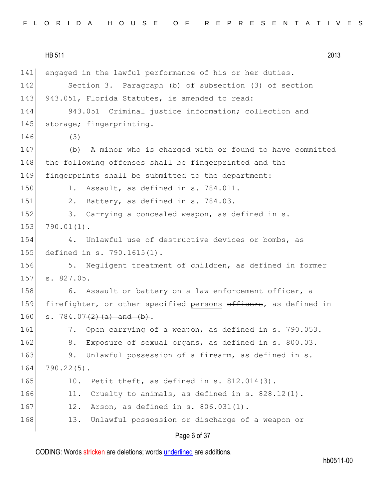HB 511 2013 Page 6 of 37 141 engaged in the lawful performance of his or her duties. 142 Section 3. Paragraph (b) of subsection (3) of section 143 943.051, Florida Statutes, is amended to read: 144 943.051 Criminal justice information; collection and 145 storage; fingerprinting.-146 (3) 147 (b) A minor who is charged with or found to have committed 148 the following offenses shall be fingerprinted and the 149 fingerprints shall be submitted to the department: 150 1. Assault, as defined in s. 784.011. 151  $\vert$  2. Battery, as defined in s. 784.03. 152 3. Carrying a concealed weapon, as defined in s. 153 790.01(1). 154 4. Unlawful use of destructive devices or bombs, as 155 defined in s. 790.1615(1). 156 5. Negligent treatment of children, as defined in former 157 s. 827.05. 158 6. Assault or battery on a law enforcement officer, a 159 firefighter, or other specified persons officers, as defined in 160 s. 784.07 $\left(2\right)$  (a) and (b). 161 7. Open carrying of a weapon, as defined in s. 790.053. 162 8. Exposure of sexual organs, as defined in s. 800.03. 163 9. Unlawful possession of a firearm, as defined in s. 164 790.22(5). 165 10. Petit theft, as defined in s. 812.014(3). 166 11. Cruelty to animals, as defined in s.  $828.12(1)$ . 167 12. Arson, as defined in s. 806.031(1). 168 13. Unlawful possession or discharge of a weapon or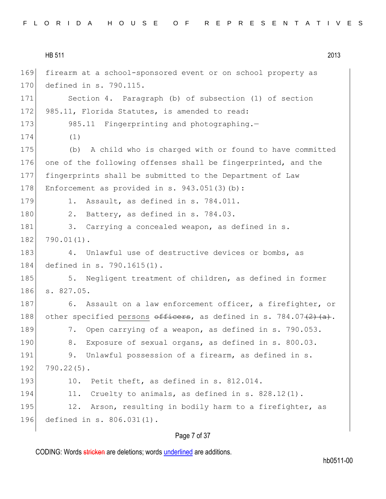|  |  |  |  |  |  |  |  |  |  | FLORIDA HOUSE OF REPRESENTATIVES |  |  |  |  |  |  |  |  |  |  |  |  |  |  |  |  |
|--|--|--|--|--|--|--|--|--|--|----------------------------------|--|--|--|--|--|--|--|--|--|--|--|--|--|--|--|--|
|--|--|--|--|--|--|--|--|--|--|----------------------------------|--|--|--|--|--|--|--|--|--|--|--|--|--|--|--|--|

|     | HB 511<br>2013                                                            |
|-----|---------------------------------------------------------------------------|
| 169 | firearm at a school-sponsored event or on school property as              |
| 170 | defined in s. 790.115.                                                    |
| 171 | Section 4. Paragraph (b) of subsection (1) of section                     |
| 172 | 985.11, Florida Statutes, is amended to read:                             |
| 173 | 985.11 Fingerprinting and photographing.-                                 |
| 174 | (1)                                                                       |
| 175 | A child who is charged with or found to have committed<br>(b)             |
| 176 | one of the following offenses shall be fingerprinted, and the             |
| 177 | fingerprints shall be submitted to the Department of Law                  |
| 178 | Enforcement as provided in s. $943.051(3)(b)$ :                           |
| 179 | Assault, as defined in s. 784.011.<br>1.                                  |
| 180 | Battery, as defined in s. 784.03.<br>2.                                   |
| 181 | Carrying a concealed weapon, as defined in s.<br>3.                       |
| 182 | $790.01(1)$ .                                                             |
| 183 | Unlawful use of destructive devices or bombs, as<br>4.                    |
| 184 | defined in s. 790.1615(1).                                                |
| 185 | Negligent treatment of children, as defined in former<br>5.               |
| 186 | s. 827.05.                                                                |
| 187 | Assault on a law enforcement officer, a firefighter, or<br>6.             |
| 188 | other specified persons $\theta$ fictions, as defined in s. 784.07(2)(a). |
| 189 | Open carrying of a weapon, as defined in s. 790.053.<br>7.                |
| 190 | 8.<br>Exposure of sexual organs, as defined in s. 800.03.                 |
| 191 | Unlawful possession of a firearm, as defined in s.<br>9.                  |
| 192 | $790.22(5)$ .                                                             |
| 193 | Petit theft, as defined in s. 812.014.<br>10.                             |
| 194 | 11.<br>Cruelty to animals, as defined in s. 828.12(1).                    |
| 195 | 12.<br>Arson, resulting in bodily harm to a firefighter, as               |
| 196 | defined in s. 806.031(1).                                                 |
|     |                                                                           |

# Page 7 of 37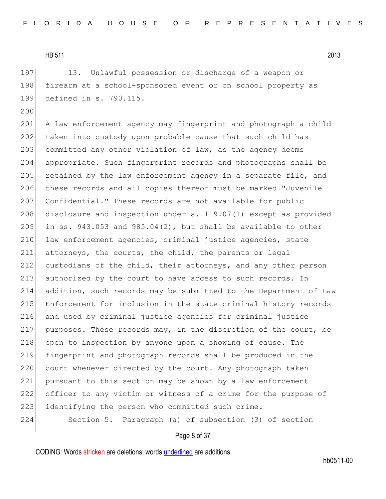197 13. Unlawful possession or discharge of a weapon or 198 firearm at a school-sponsored event or on school property as 199 defined in s. 790.115.

200

201 A law enforcement agency may fingerprint and photograph a child 202 taken into custody upon probable cause that such child has 203 committed any other violation of law, as the agency deems 204 appropriate. Such fingerprint records and photographs shall be 205 retained by the law enforcement agency in a separate file, and 206 these records and all copies thereof must be marked "Juvenile 207 Confidential." These records are not available for public 208 disclosure and inspection under s. 119.07(1) except as provided 209 in ss.  $943.053$  and  $985.04(2)$ , but shall be available to other 210 law enforcement agencies, criminal justice agencies, state 211 attorneys, the courts, the child, the parents or legal 212 custodians of the child, their attorneys, and any other person 213 authorized by the court to have access to such records. In 214 addition, such records may be submitted to the Department of Law 215 Enforcement for inclusion in the state criminal history records 216 and used by criminal justice agencies for criminal justice 217 purposes. These records may, in the discretion of the court, be 218 open to inspection by anyone upon a showing of cause. The 219 fingerprint and photograph records shall be produced in the 220 court whenever directed by the court. Any photograph taken 221 pursuant to this section may be shown by a law enforcement 222 officer to any victim or witness of a crime for the purpose of 223 identifying the person who committed such crime. 224 Section 5. Paragraph (a) of subsection (3) of section

### Page 8 of 37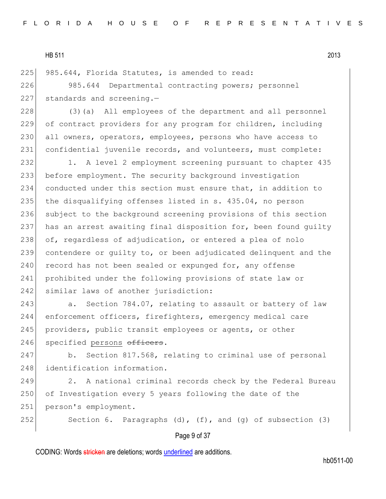225 985.644, Florida Statutes, is amended to read:

226 985.644 Departmental contracting powers; personnel  $227$  standards and screening.-

228 (3)(a) All employees of the department and all personnel 229 of contract providers for any program for children, including 230 all owners, operators, employees, persons who have access to 231 confidential juvenile records, and volunteers, must complete:

232 1. A level 2 employment screening pursuant to chapter 435 233 before employment. The security background investigation 234 conducted under this section must ensure that, in addition to 235 the disqualifying offenses listed in s. 435.04, no person 236 subject to the background screening provisions of this section 237 has an arrest awaiting final disposition for, been found guilty  $238$  of, regardless of adjudication, or entered a plea of nolo 239 contendere or guilty to, or been adjudicated delinquent and the  $240$  record has not been sealed or expunged for, any offense 241 prohibited under the following provisions of state law or 242 similar laws of another jurisdiction:

243 a. Section 784.07, relating to assault or battery of law 244 enforcement officers, firefighters, emergency medical care 245 providers, public transit employees or agents, or other 246 specified persons officers.

247 b. Section 817.568, relating to criminal use of personal 248 identification information.

249 2. A national criminal records check by the Federal Bureau 250 of Investigation every 5 years following the date of the 251 person's employment.

252 Section 6. Paragraphs (d),  $(f)$ , and  $(g)$  of subsection (3)

## Page 9 of 37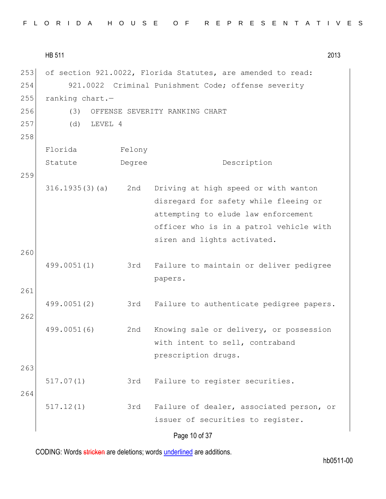|  |  |  |  |  |  |  |  | FLORIDA HOUSE OF REPRESENTATIVES |  |  |  |  |  |  |  |  |  |  |  |  |  |  |  |  |  |  |  |  |  |  |  |  |  |  |
|--|--|--|--|--|--|--|--|----------------------------------|--|--|--|--|--|--|--|--|--|--|--|--|--|--|--|--|--|--|--|--|--|--|--|--|--|--|
|--|--|--|--|--|--|--|--|----------------------------------|--|--|--|--|--|--|--|--|--|--|--|--|--|--|--|--|--|--|--|--|--|--|--|--|--|--|

HB 511 2013 Page 10 of 37 253 of section 921.0022, Florida Statutes, are amended to read: 254 921.0022 Criminal Punishment Code; offense severity 255 ranking chart.— 256 (3) OFFENSE SEVERITY RANKING CHART 257 (d) LEVEL 4 258 Florida Statute Felony Degree Description 259 316.1935(3)(a) 2nd Driving at high speed or with wanton disregard for safety while fleeing or attempting to elude law enforcement officer who is in a patrol vehicle with siren and lights activated. 260 499.0051(1) 3rd Failure to maintain or deliver pedigree papers. 261 499.0051(2) 3rd Failure to authenticate pedigree papers. 262 499.0051(6) 2nd Knowing sale or delivery, or possession with intent to sell, contraband prescription drugs. 263 517.07(1) 3rd Failure to register securities. 264 517.12(1) 3rd Failure of dealer, associated person, or issuer of securities to register.

CODING: Words stricken are deletions; words underlined are additions.

hb0511-00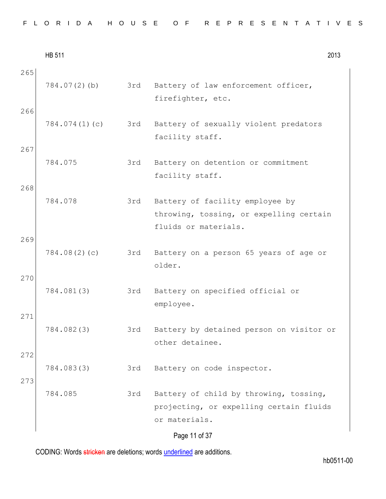|  |  |  |  |  |  |  |  |  | FLORIDA HOUSE OF REPRESENTATIVES |  |
|--|--|--|--|--|--|--|--|--|----------------------------------|--|
|--|--|--|--|--|--|--|--|--|----------------------------------|--|

|            | <b>HB 511</b> |     | 2013                                                                                                                |
|------------|---------------|-----|---------------------------------------------------------------------------------------------------------------------|
| 265<br>266 | 784.07(2)(b)  | 3rd | Battery of law enforcement officer,<br>firefighter, etc.                                                            |
|            | 784.074(1)(c) | 3rd | Battery of sexually violent predators<br>facility staff.                                                            |
| 267        | 784.075       | 3rd | Battery on detention or commitment<br>facility staff.                                                               |
| 268        | 784.078       | 3rd | Battery of facility employee by<br>throwing, tossing, or expelling certain<br>fluids or materials.                  |
| 269<br>270 | 784.08(2)(c)  | 3rd | Battery on a person 65 years of age or<br>older.                                                                    |
|            | 784.081(3)    | 3rd | Battery on specified official or<br>employee.                                                                       |
| 271        | 784.082(3)    | 3rd | Battery by detained person on visitor or<br>other detainee.                                                         |
| 272<br>273 | 784.083(3)    | 3rd | Battery on code inspector.                                                                                          |
|            | 784.085       | 3rd | Battery of child by throwing, tossing,<br>projecting, or expelling certain fluids<br>or materials.<br>Page 11 of 37 |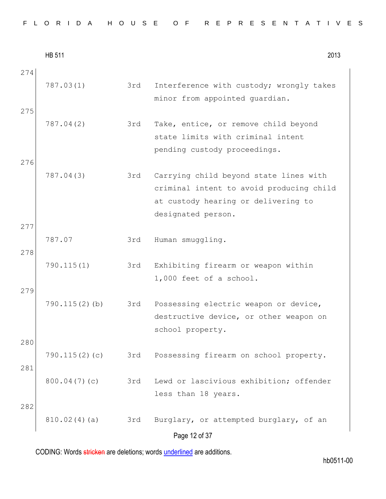| FLORIDA HOUSE OF REPRESENTATIVES |  |  |  |
|----------------------------------|--|--|--|
|----------------------------------|--|--|--|

|            | <b>HB 511</b>    |     | 2013                                                                                                                                            |
|------------|------------------|-----|-------------------------------------------------------------------------------------------------------------------------------------------------|
| 274<br>275 | 787.03(1)        | 3rd | Interference with custody; wrongly takes<br>minor from appointed guardian.                                                                      |
|            | 787.04(2)        | 3rd | Take, entice, or remove child beyond<br>state limits with criminal intent<br>pending custody proceedings.                                       |
| 276<br>277 | 787.04(3)        | 3rd | Carrying child beyond state lines with<br>criminal intent to avoid producing child<br>at custody hearing or delivering to<br>designated person. |
| 278        | 787.07           | 3rd | Human smuggling.                                                                                                                                |
| 279        | 790.115(1)       | 3rd | Exhibiting firearm or weapon within<br>1,000 feet of a school.                                                                                  |
| 280        | $790.115(2)$ (b) | 3rd | Possessing electric weapon or device,<br>destructive device, or other weapon on<br>school property.                                             |
| 281        | 790.115(2)(c)    | 3rd | Possessing firearm on school property.                                                                                                          |
| 282        | 800.04(7)(c)     | 3rd | Lewd or lascivious exhibition; offender<br>less than 18 years.                                                                                  |
|            | 810.02(4)(a)     | 3rd | Burglary, or attempted burglary, of an<br>Page 12 of 37                                                                                         |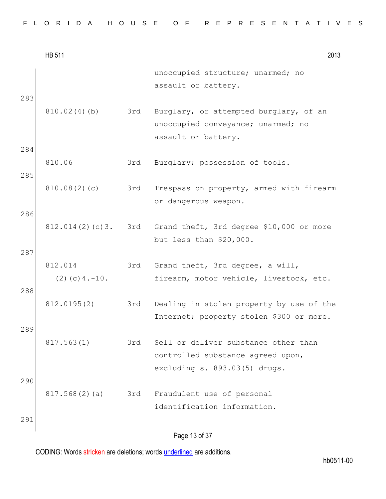|  |  |  |  |  |  |  |  |  |  |  |  |  |  | FLORIDA HOUSE OF REPRESENTATIVES |  |  |  |  |  |  |  |  |  |  |  |  |  |  |  |  |  |  |
|--|--|--|--|--|--|--|--|--|--|--|--|--|--|----------------------------------|--|--|--|--|--|--|--|--|--|--|--|--|--|--|--|--|--|--|
|--|--|--|--|--|--|--|--|--|--|--|--|--|--|----------------------------------|--|--|--|--|--|--|--|--|--|--|--|--|--|--|--|--|--|--|

|     | <b>HB 511</b>                   |     | 2013                                                                                      |
|-----|---------------------------------|-----|-------------------------------------------------------------------------------------------|
|     |                                 |     | unoccupied structure; unarmed; no<br>assault or battery.                                  |
| 283 |                                 |     |                                                                                           |
|     | 810.02(4)(b)                    | 3rd | Burglary, or attempted burglary, of an<br>unoccupied conveyance; unarmed; no              |
|     |                                 |     | assault or battery.                                                                       |
| 284 | 810.06                          | 3rd | Burglary; possession of tools.                                                            |
| 285 |                                 |     |                                                                                           |
|     | 810.08(2)(c)                    | 3rd | Trespass on property, armed with firearm<br>or dangerous weapon.                          |
| 286 |                                 |     |                                                                                           |
|     |                                 |     | $812.014(2)(c)3.$ 3rd Grand theft, 3rd degree \$10,000 or more<br>but less than \$20,000. |
| 287 |                                 |     |                                                                                           |
|     | 812.014<br>$(2)$ (c) 4. $-10$ . | 3rd | Grand theft, 3rd degree, a will,<br>firearm, motor vehicle, livestock, etc.               |
| 288 |                                 |     |                                                                                           |
|     | 812.0195(2)                     | 3rd | Dealing in stolen property by use of the<br>Internet; property stolen \$300 or more.      |
| 289 |                                 |     |                                                                                           |
|     | 817.563(1)                      | 3rd | Sell or deliver substance other than<br>controlled substance agreed upon,                 |
| 290 |                                 |     | excluding s. 893.03(5) drugs.                                                             |
|     | 817.568(2)(a)                   | 3rd | Fraudulent use of personal                                                                |
| 291 |                                 |     | identification information.                                                               |
|     |                                 |     | Page 13 of 37                                                                             |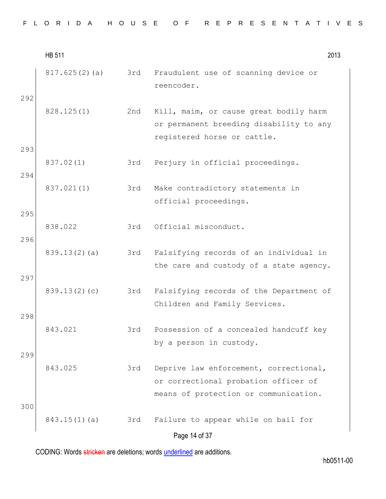|            | <b>HB 511</b>   |     | 2013                                                                                                                    |
|------------|-----------------|-----|-------------------------------------------------------------------------------------------------------------------------|
| 292        | 817.625(2)(a)   | 3rd | Fraudulent use of scanning device or<br>reencoder.                                                                      |
|            | 828.125(1)      | 2nd | Kill, maim, or cause great bodily harm<br>or permanent breeding disability to any<br>registered horse or cattle.        |
| 293        | 837.02(1)       | 3rd | Perjury in official proceedings.                                                                                        |
| 294        | 837.021(1)      | 3rd | Make contradictory statements in<br>official proceedings.                                                               |
| 295<br>296 | 838.022         | 3rd | Official misconduct.                                                                                                    |
|            | 839.13(2)(a)    | 3rd | Falsifying records of an individual in<br>the care and custody of a state agency.                                       |
| 297        | 839.13(2)(c)    | 3rd | Falsifying records of the Department of<br>Children and Family Services.                                                |
| 298        | 843.021         | 3rd | Possession of a concealed handcuff key<br>by a person in custody.                                                       |
| 299        | 843.025         | 3rd | Deprive law enforcement, correctional,<br>or correctional probation officer of<br>means of protection or communication. |
| 300        | $843.15(1)$ (a) | 3rd | Failure to appear while on bail for                                                                                     |
|            |                 |     | Page 14 of 37                                                                                                           |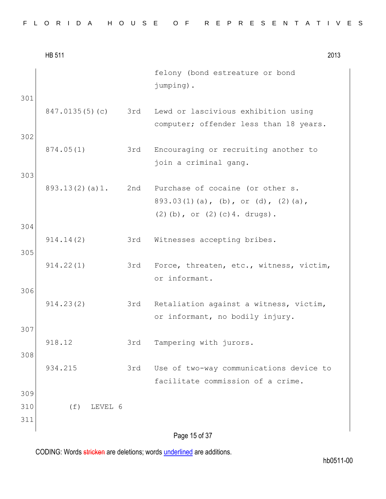|  |  |  |  |  |  |  |  |  | FLORIDA HOUSE OF REPRESENTATIVES |  |  |  |  |  |  |  |  |  |  |  |  |  |  |  |  |  |  |  |  |  |  |  |
|--|--|--|--|--|--|--|--|--|----------------------------------|--|--|--|--|--|--|--|--|--|--|--|--|--|--|--|--|--|--|--|--|--|--|--|
|--|--|--|--|--|--|--|--|--|----------------------------------|--|--|--|--|--|--|--|--|--|--|--|--|--|--|--|--|--|--|--|--|--|--|--|

|                   | <b>HB 511</b>  |     |                                                                               | 2013 |
|-------------------|----------------|-----|-------------------------------------------------------------------------------|------|
|                   |                |     | felony (bond estreature or bond<br>jumping).                                  |      |
| 301               | 847.0135(5)(c) | 3rd | Lewd or lascivious exhibition using<br>computer; offender less than 18 years. |      |
| 302               | 874.05(1)      | 3rd | Encouraging or recruiting another to<br>join a criminal gang.                 |      |
| 303               | 893.13(2)(a)1. |     | 2nd Purchase of cocaine (or other s.<br>893.03(1)(a), (b), or (d), (2)(a),    |      |
| 304               |                |     | $(2)$ (b), or $(2)$ (c) 4. drugs).                                            |      |
| 305               | 914.14(2)      | 3rd | Witnesses accepting bribes.                                                   |      |
|                   | 914.22(1)      | 3rd | Force, threaten, etc., witness, victim,<br>or informant.                      |      |
| 306               | 914.23(2)      | 3rd | Retaliation against a witness, victim,<br>or informant, no bodily injury.     |      |
| 307               | 918.12         | 3rd | Tampering with jurors.                                                        |      |
| 308               | 934.215        | 3rd | Use of two-way communications device to<br>facilitate commission of a crime.  |      |
| 309<br>310<br>311 | (f)<br>LEVEL 6 |     |                                                                               |      |
|                   |                |     | Page 15 of 37                                                                 |      |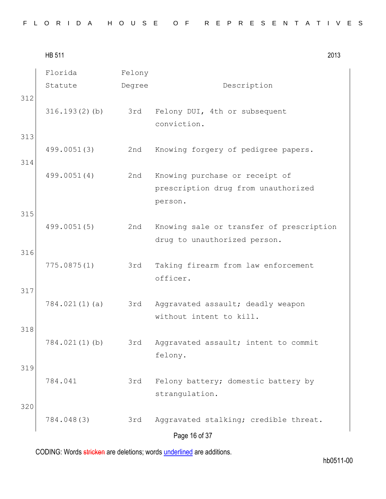| FLORIDA HOUSE OF REPRESENTATIVES |  |  |  |  |  |  |  |  |  |  |  |  |  |  |  |  |  |  |  |  |  |  |  |  |  |  |  |  |  |  |  |
|----------------------------------|--|--|--|--|--|--|--|--|--|--|--|--|--|--|--|--|--|--|--|--|--|--|--|--|--|--|--|--|--|--|--|
|----------------------------------|--|--|--|--|--|--|--|--|--|--|--|--|--|--|--|--|--|--|--|--|--|--|--|--|--|--|--|--|--|--|--|

HB 511 2013 Page 16 of 37 Florida Statute Felony Degree Description 312 316.193(2)(b) 3rd Felony DUI, 4th or subsequent conviction. 313 499.0051(3) 2nd Knowing forgery of pedigree papers. 314 499.0051(4) 2nd Knowing purchase or receipt of prescription drug from unauthorized person. 315 499.0051(5) 2nd Knowing sale or transfer of prescription drug to unauthorized person. 316 775.0875(1) 3rd Taking firearm from law enforcement officer. 317 784.021(1)(a) 3rd Aggravated assault; deadly weapon without intent to kill. 318 784.021(1)(b) 3rd Aggravated assault; intent to commit felony. 319 784.041 3rd Felony battery; domestic battery by strangulation. 320 784.048(3) 3rd Aggravated stalking; credible threat.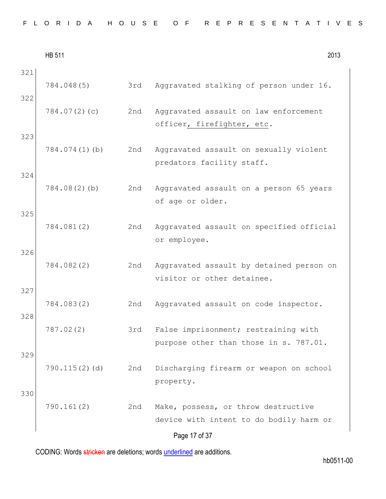| FLORIDA HOUSE OF REPRESENTATIVES |  |  |  |
|----------------------------------|--|--|--|
|----------------------------------|--|--|--|

|            | <b>HB 511</b> |     | 2013                                                                           |
|------------|---------------|-----|--------------------------------------------------------------------------------|
| 321<br>322 | 784.048(5)    | 3rd | Aggravated stalking of person under 16.                                        |
|            | 784.07(2)(c)  | 2nd | Aggravated assault on law enforcement<br>officer, firefighter, etc.            |
| 323        | 784.074(1)(b) | 2nd | Aggravated assault on sexually violent<br>predators facility staff.            |
| 324        | 784.08(2)(b)  | 2nd | Aggravated assault on a person 65 years<br>of age or older.                    |
| 325        | 784.081(2)    | 2nd | Aggravated assault on specified official<br>or employee.                       |
| 326        | 784.082(2)    | 2nd | Aggravated assault by detained person on<br>visitor or other detainee.         |
| 327<br>328 | 784.083(2)    | 2nd | Aggravated assault on code inspector.                                          |
|            | 787.02(2)     | 3rd | False imprisonment; restraining with<br>purpose other than those in s. 787.01. |
| 329        | 790.115(2)(d) | 2nd | Discharging firearm or weapon on school<br>property.                           |
| 330        | 790.161(2)    | 2nd | Make, possess, or throw destructive<br>device with intent to do bodily harm or |
|            |               |     | Page 17 of 37                                                                  |

hb0511-00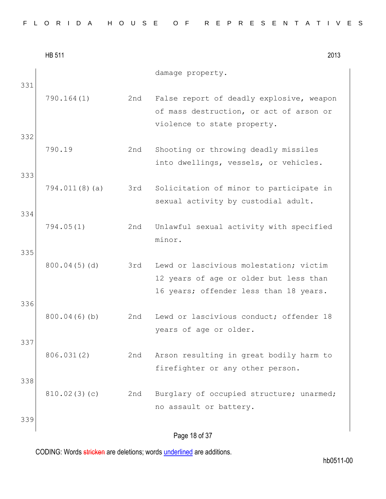|            | <b>HB 511</b> |     | 2013                                                                                                                       |
|------------|---------------|-----|----------------------------------------------------------------------------------------------------------------------------|
| 331        |               |     | damage property.                                                                                                           |
| 332        | 790.164(1)    | 2nd | False report of deadly explosive, weapon<br>of mass destruction, or act of arson or<br>violence to state property.         |
|            | 790.19        | 2nd | Shooting or throwing deadly missiles<br>into dwellings, vessels, or vehicles.                                              |
| 333        | 794.011(8)(a) | 3rd | Solicitation of minor to participate in<br>sexual activity by custodial adult.                                             |
| 334        | 794.05(1)     | 2nd | Unlawful sexual activity with specified<br>minor.                                                                          |
| 335<br>336 | 800.04(5)(d)  | 3rd | Lewd or lascivious molestation; victim<br>12 years of age or older but less than<br>16 years; offender less than 18 years. |
| 337        | 800.04(6)(b)  | 2nd | Lewd or lascivious conduct; offender 18<br>years of age or older.                                                          |
| 338        | 806.031(2)    | 2nd | Arson resulting in great bodily harm to<br>firefighter or any other person.                                                |
|            | 810.02(3)(c)  | 2nd | Burglary of occupied structure; unarmed;<br>no assault or battery.                                                         |
| 339        |               |     | Page 18 of 37                                                                                                              |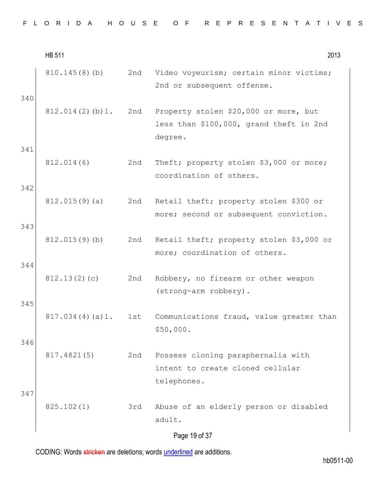|  |  |  |  |  |  |  |  |  |  |  |  |  | FLORIDA HOUSE OF REPRESENTATIVES |  |  |  |  |  |  |  |  |  |  |  |  |  |  |  |  |
|--|--|--|--|--|--|--|--|--|--|--|--|--|----------------------------------|--|--|--|--|--|--|--|--|--|--|--|--|--|--|--|--|
|--|--|--|--|--|--|--|--|--|--|--|--|--|----------------------------------|--|--|--|--|--|--|--|--|--|--|--|--|--|--|--|--|

|     | <b>HB 511</b>    |     | 2013                                                                                        |
|-----|------------------|-----|---------------------------------------------------------------------------------------------|
| 340 | 810.145(8)(b)    | 2nd | Video voyeurism; certain minor victims;<br>2nd or subsequent offense.                       |
|     | 812.014(2)(b)1.  | 2nd | Property stolen \$20,000 or more, but<br>less than \$100,000, grand theft in 2nd<br>degree. |
| 341 | 812.014(6)       | 2nd | Theft; property stolen \$3,000 or more;<br>coordination of others.                          |
| 342 | 812.015(9)(a)    | 2nd | Retail theft; property stolen \$300 or<br>more; second or subsequent conviction.            |
| 343 | $812.015(9)$ (b) | 2nd | Retail theft; property stolen \$3,000 or<br>more; coordination of others.                   |
| 344 | 812.13(2)(c)     | 2nd | Robbery, no firearm or other weapon<br>(strong-arm robbery).                                |
| 345 | 817.034(4)(a)1.  | 1st | Communications fraud, value greater than<br>\$50,000.                                       |
| 346 | 817.4821(5)      | 2nd | Possess cloning paraphernalia with<br>intent to create cloned cellular<br>telephones.       |
| 347 | 825.102(1)       | 3rd | Abuse of an elderly person or disabled<br>adult.                                            |
|     |                  |     | Page 19 of 37                                                                               |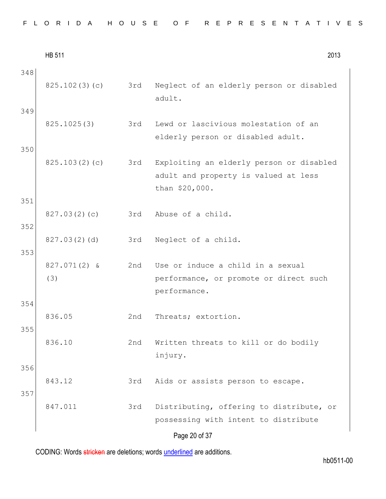|  |  |  |  |  |  |  |  |  |  | FLORIDA HOUSE OF REPRESENTATIVES |  |  |  |  |  |  |  |  |  |  |  |  |  |  |  |
|--|--|--|--|--|--|--|--|--|--|----------------------------------|--|--|--|--|--|--|--|--|--|--|--|--|--|--|--|
|--|--|--|--|--|--|--|--|--|--|----------------------------------|--|--|--|--|--|--|--|--|--|--|--|--|--|--|--|

|            | <b>HB 511</b>         |     | 2013                                                                                               |
|------------|-----------------------|-----|----------------------------------------------------------------------------------------------------|
| 348        | 825.102(3)(c)         | 3rd | Neglect of an elderly person or disabled<br>adult.                                                 |
| 349        | 825.1025(3)           | 3rd | Lewd or lascivious molestation of an<br>elderly person or disabled adult.                          |
| 350        | 825.103(2)(c)         | 3rd | Exploiting an elderly person or disabled<br>adult and property is valued at less<br>than \$20,000. |
| 351        | 827.03(2)(c)          | 3rd | Abuse of a child.                                                                                  |
| 352<br>353 | 827.03(2)(d)          | 3rd | Neglect of a child.                                                                                |
|            | $827.071(2)$ &<br>(3) | 2nd | Use or induce a child in a sexual<br>performance, or promote or direct such<br>performance.        |
| 354        | 836.05                | 2nd | Threats; extortion.                                                                                |
| 355        | 836.10                | 2nd | Written threats to kill or do bodily<br>injury.                                                    |
| 356        | 843.12                | 3rd | Aids or assists person to escape.                                                                  |
| 357        | 847.011               | 3rd | Distributing, offering to distribute, or<br>possessing with intent to distribute                   |
|            |                       |     | Page 20 of 37                                                                                      |

hb0511-00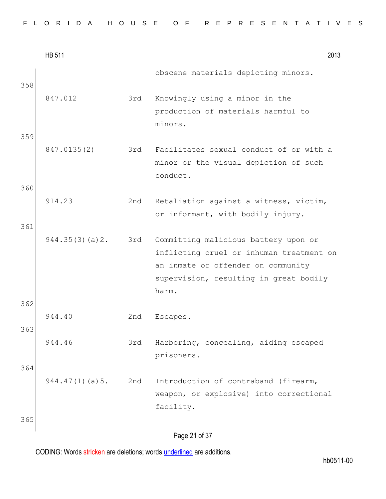|  |  |  |  |  |  |  |  |  |  |  |  |  |  | FLORIDA HOUSE OF REPRESENTATIVES |  |  |  |  |  |  |  |  |  |  |  |  |  |  |  |  |  |  |
|--|--|--|--|--|--|--|--|--|--|--|--|--|--|----------------------------------|--|--|--|--|--|--|--|--|--|--|--|--|--|--|--|--|--|--|
|--|--|--|--|--|--|--|--|--|--|--|--|--|--|----------------------------------|--|--|--|--|--|--|--|--|--|--|--|--|--|--|--|--|--|--|

|     | <b>HB 511</b>  |     |                                                                                                                                                                           | 2013 |
|-----|----------------|-----|---------------------------------------------------------------------------------------------------------------------------------------------------------------------------|------|
| 358 |                |     | obscene materials depicting minors.                                                                                                                                       |      |
| 359 | 847.012        | 3rd | Knowingly using a minor in the<br>production of materials harmful to<br>minors.                                                                                           |      |
|     | 847.0135(2)    | 3rd | Facilitates sexual conduct of or with a<br>minor or the visual depiction of such<br>conduct.                                                                              |      |
| 360 |                |     |                                                                                                                                                                           |      |
|     | 914.23         | 2nd | Retaliation against a witness, victim,<br>or informant, with bodily injury.                                                                                               |      |
| 361 |                |     |                                                                                                                                                                           |      |
|     | 944.35(3)(a)2. | 3rd | Committing malicious battery upon or<br>inflicting cruel or inhuman treatment on<br>an inmate or offender on community<br>supervision, resulting in great bodily<br>harm. |      |
| 362 |                |     |                                                                                                                                                                           |      |
| 363 | 944.40         | 2nd | Escapes.                                                                                                                                                                  |      |
|     | 944.46         | 3rd | Harboring, concealing, aiding escaped<br>prisoners.                                                                                                                       |      |
| 364 |                |     |                                                                                                                                                                           |      |
|     | 944.47(1)(a)5. | 2nd | Introduction of contraband (firearm,<br>weapon, or explosive) into correctional<br>facility.                                                                              |      |
| 365 |                |     |                                                                                                                                                                           |      |
|     |                |     | Page 21 of 37                                                                                                                                                             |      |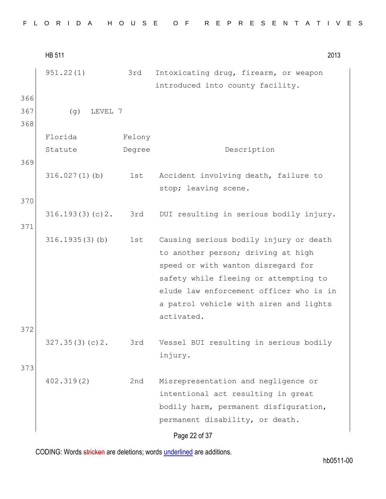|  |  |  |  |  |  |  |  |  |  | FLORIDA HOUSE OF REPRESENTATIVES |  |  |  |  |  |  |  |  |  |  |  |  |  |  |  |  |
|--|--|--|--|--|--|--|--|--|--|----------------------------------|--|--|--|--|--|--|--|--|--|--|--|--|--|--|--|--|
|--|--|--|--|--|--|--|--|--|--|----------------------------------|--|--|--|--|--|--|--|--|--|--|--|--|--|--|--|--|

HB 511 2013 Page 22 of 37 951.22(1) 3rd Intoxicating drug, firearm, or weapon introduced into county facility. 366 367 (g) LEVEL 7 368 Florida Statute Felony Degree Description 369 316.027(1)(b) 1st Accident involving death, failure to stop; leaving scene. 370 316.193(3)(c)2. 3rd DUI resulting in serious bodily injury. 371 316.1935(3)(b) 1st Causing serious bodily injury or death to another person; driving at high speed or with wanton disregard for safety while fleeing or attempting to elude law enforcement officer who is in a patrol vehicle with siren and lights activated. 372 327.35(3)(c)2. 3rd Vessel BUI resulting in serious bodily injury. 373 402.319(2) 2nd Misrepresentation and negligence or intentional act resulting in great bodily harm, permanent disfiguration, permanent disability, or death.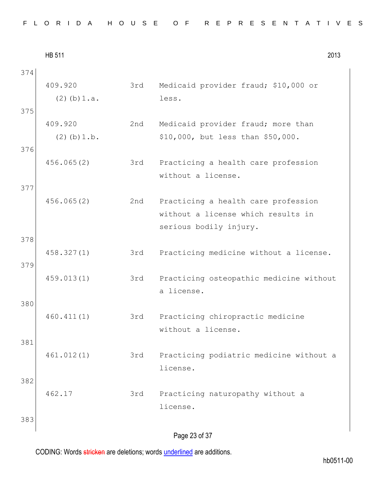| FLORIDA HOUSE OF REPRESENTATIVES |  |
|----------------------------------|--|
|----------------------------------|--|

|     | <b>HB 511</b>     |     | 2013                                                  |
|-----|-------------------|-----|-------------------------------------------------------|
| 374 |                   |     |                                                       |
|     | 409.920           | 3rd | Medicaid provider fraud; \$10,000 or                  |
|     | $(2)$ (b) $1.a.$  |     | less.                                                 |
| 375 |                   |     |                                                       |
|     | 409.920           | 2nd | Medicaid provider fraud; more than                    |
|     | $(2)$ (b) $1.b$ . |     | \$10,000, but less than \$50,000.                     |
| 376 |                   |     |                                                       |
|     | 456.065(2)        | 3rd | Practicing a health care profession                   |
|     |                   |     | without a license.                                    |
| 377 |                   |     |                                                       |
|     | 456.065(2)        | 2nd | Practicing a health care profession                   |
|     |                   |     | without a license which results in                    |
|     |                   |     | serious bodily injury.                                |
| 378 |                   |     |                                                       |
|     | 458.327(1)        | 3rd | Practicing medicine without a license.                |
| 379 |                   |     |                                                       |
|     | 459.013(1)        | 3rd | Practicing osteopathic medicine without<br>a license. |
| 380 |                   |     |                                                       |
|     | 460.411(1)        | 3rd | Practicing chiropractic medicine                      |
|     |                   |     | without a license.                                    |
| 381 |                   |     |                                                       |
|     | 461.012(1)        | 3rd | Practicing podiatric medicine without a               |
|     |                   |     | license.                                              |
| 382 |                   |     |                                                       |
|     | 462.17            | 3rd | Practicing naturopathy without a                      |
|     |                   |     | license.                                              |
| 383 |                   |     |                                                       |
|     |                   |     |                                                       |
|     |                   |     | Page 23 of 37                                         |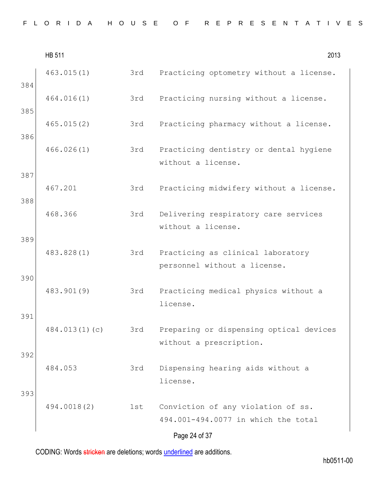|  |  |  |  |  |  |  |  |  |  |  |  |  | FLORIDA HOUSE OF REPRESENTATIVES |  |  |  |  |  |  |  |  |  |  |  |  |  |  |  |  |
|--|--|--|--|--|--|--|--|--|--|--|--|--|----------------------------------|--|--|--|--|--|--|--|--|--|--|--|--|--|--|--|--|
|--|--|--|--|--|--|--|--|--|--|--|--|--|----------------------------------|--|--|--|--|--|--|--|--|--|--|--|--|--|--|--|--|

|            | <b>HB 511</b> |     | 2013                                                                      |
|------------|---------------|-----|---------------------------------------------------------------------------|
| 384        | 463.015(1)    | 3rd | Practicing optometry without a license.                                   |
| 385        | 464.016(1)    | 3rd | Practicing nursing without a license.                                     |
|            | 465.015(2)    | 3rd | Practicing pharmacy without a license.                                    |
| 386        | 466.026(1)    | 3rd | Practicing dentistry or dental hygiene<br>without a license.              |
| 387<br>388 | 467.201       | 3rd | Practicing midwifery without a license.                                   |
|            | 468.366       | 3rd | Delivering respiratory care services<br>without a license.                |
| 389        | 483.828(1)    | 3rd | Practicing as clinical laboratory<br>personnel without a license.         |
| 390        | 483.901(9)    | 3rd | Practicing medical physics without a<br>license.                          |
| 391        | 484.013(1)(c) | 3rd | Preparing or dispensing optical devices<br>without a prescription.        |
| 392        | 484.053       | 3rd | Dispensing hearing aids without a<br>license.                             |
| 393        | 494.0018(2)   | 1st | Conviction of any violation of ss.<br>494.001-494.0077 in which the total |
|            |               |     | Page 24 of 37                                                             |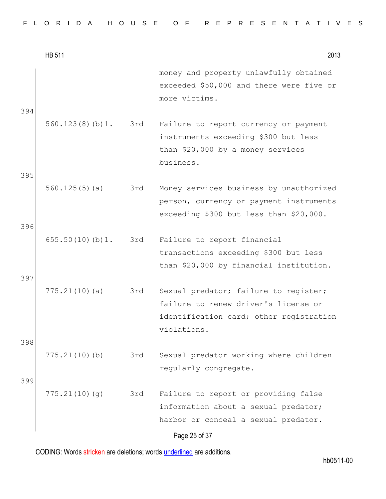|  |  |  |  |  |  |  |  |  | FLORIDA HOUSE OF REPRESENTATIVES |
|--|--|--|--|--|--|--|--|--|----------------------------------|
|--|--|--|--|--|--|--|--|--|----------------------------------|

|            | <b>HB 511</b>       |     | 2013                                                                                                                                    |
|------------|---------------------|-----|-----------------------------------------------------------------------------------------------------------------------------------------|
| 394        |                     |     | money and property unlawfully obtained<br>exceeded \$50,000 and there were five or<br>more victims.                                     |
| 395        | 560.123(8)(b)1. 3rd |     | Failure to report currency or payment<br>instruments exceeding \$300 but less<br>than \$20,000 by a money services<br>business.         |
| 396        | 560.125(5)(a)       | 3rd | Money services business by unauthorized<br>person, currency or payment instruments<br>exceeding \$300 but less than \$20,000.           |
| 397        | 655.50(10)(b)1.     | 3rd | Failure to report financial<br>transactions exceeding \$300 but less<br>than \$20,000 by financial institution.                         |
|            | 775.21(10)(a)       | 3rd | Sexual predator; failure to register;<br>failure to renew driver's license or<br>identification card; other registration<br>violations. |
| 398<br>399 | 775.21(10)(b)       | 3rd | Sexual predator working where children<br>regularly congregate.                                                                         |
|            | 775.21(10)(g)       | 3rd | Failure to report or providing false<br>information about a sexual predator;<br>harbor or conceal a sexual predator.<br>Page 25 of 37   |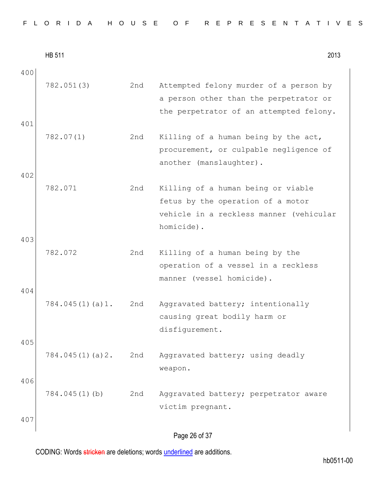| FLORIDA HOUSE OF REPRESENTATIVES |  |  |  |  |  |  |  |  |  |  |  |  |  |  |  |  |  |  |  |  |  |  |  |  |  |  |
|----------------------------------|--|--|--|--|--|--|--|--|--|--|--|--|--|--|--|--|--|--|--|--|--|--|--|--|--|--|
|----------------------------------|--|--|--|--|--|--|--|--|--|--|--|--|--|--|--|--|--|--|--|--|--|--|--|--|--|--|

|            | <b>HB 511</b>    |     | 2013                                                                                                                             |
|------------|------------------|-----|----------------------------------------------------------------------------------------------------------------------------------|
| 400<br>401 | 782.051(3)       | 2nd | Attempted felony murder of a person by<br>a person other than the perpetrator or<br>the perpetrator of an attempted felony.      |
| 402        | 782.07(1)        | 2nd | Killing of a human being by the act,<br>procurement, or culpable negligence of<br>another (manslaughter).                        |
|            | 782.071          | 2nd | Killing of a human being or viable<br>fetus by the operation of a motor<br>vehicle in a reckless manner (vehicular<br>homicide). |
| 403<br>404 | 782.072          | 2nd | Killing of a human being by the<br>operation of a vessel in a reckless<br>manner (vessel homicide).                              |
| 405        | 784.045(1)(a)1.  | 2nd | Aggravated battery; intentionally<br>causing great bodily harm or<br>disfigurement.                                              |
| 406        | 784.045(1)(a)2.  | 2nd | Aggravated battery; using deadly<br>weapon.                                                                                      |
| 407        | $784.045(1)$ (b) | 2nd | Aggravated battery; perpetrator aware<br>victim pregnant.                                                                        |
|            |                  |     | Page 26 of 37                                                                                                                    |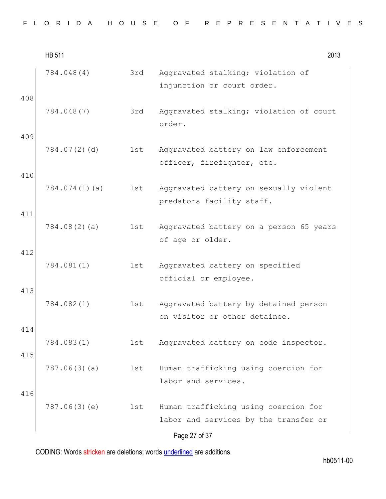|            | <b>HB 511</b> |     | 2013                                                                          |
|------------|---------------|-----|-------------------------------------------------------------------------------|
| 408        | 784.048(4)    | 3rd | Aggravated stalking; violation of<br>injunction or court order.               |
|            | 784.048(7)    | 3rd | Aggravated stalking; violation of court<br>order.                             |
| 409        | 784.07(2)(d)  | 1st | Aggravated battery on law enforcement<br>officer, firefighter, etc.           |
| 410        | 784.074(1)(a) | 1st | Aggravated battery on sexually violent<br>predators facility staff.           |
| 411        | 784.08(2)(a)  | 1st | Aggravated battery on a person 65 years<br>of age or older.                   |
| 412        | 784.081(1)    | 1st | Aggravated battery on specified<br>official or employee.                      |
| 413        | 784.082(1)    | 1st | Aggravated battery by detained person<br>on visitor or other detainee.        |
| 414<br>415 | 784.083(1)    | 1st | Aggravated battery on code inspector.                                         |
|            | 787.06(3)(a)  | 1st | Human trafficking using coercion for<br>labor and services.                   |
| 416        | 787.06(3)(e)  | 1st | Human trafficking using coercion for<br>labor and services by the transfer or |
|            |               |     | Page 27 of 37                                                                 |

hb0511-00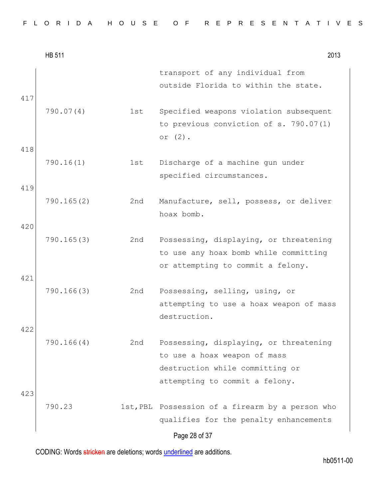|  |  |  |  |  |  |  |  |  | FLORIDA HOUSE OF REPRESENTATIVES |  |  |  |  |  |  |  |  |  |  |  |  |  |  |  |  |  |  |  |  |  |  |  |
|--|--|--|--|--|--|--|--|--|----------------------------------|--|--|--|--|--|--|--|--|--|--|--|--|--|--|--|--|--|--|--|--|--|--|--|
|--|--|--|--|--|--|--|--|--|----------------------------------|--|--|--|--|--|--|--|--|--|--|--|--|--|--|--|--|--|--|--|--|--|--|--|

|     | <b>HB 511</b> |     | 2013                                                                                                                                        |
|-----|---------------|-----|---------------------------------------------------------------------------------------------------------------------------------------------|
| 417 |               |     | transport of any individual from<br>outside Florida to within the state.                                                                    |
| 418 | 790.07(4)     | 1st | Specified weapons violation subsequent<br>to previous conviction of s. 790.07(1)<br>or $(2)$ .                                              |
|     | 790.16(1)     | 1st | Discharge of a machine gun under<br>specified circumstances.                                                                                |
| 419 | 790.165(2)    | 2nd | Manufacture, sell, possess, or deliver<br>hoax bomb.                                                                                        |
| 420 | 790.165(3)    | 2nd | Possessing, displaying, or threatening<br>to use any hoax bomb while committing<br>or attempting to commit a felony.                        |
| 421 | 790.166(3)    | 2nd | Possessing, selling, using, or<br>attempting to use a hoax weapon of mass<br>destruction.                                                   |
| 422 | 790.166(4)    | 2nd | Possessing, displaying, or threatening<br>to use a hoax weapon of mass<br>destruction while committing or<br>attempting to commit a felony. |
| 423 | 790.23        |     | 1st, PBL Possession of a firearm by a person who<br>qualifies for the penalty enhancements<br>Page 28 of 37                                 |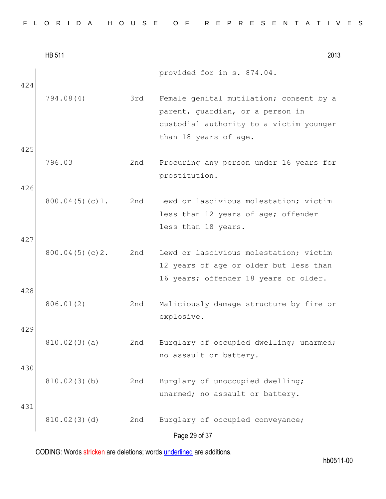|  |  |  |  |  |  |  |  | FLORIDA HOUSE OF REPRESENTATIVES |  |  |  |  |  |  |  |  |  |  |  |  |  |  |  |  |  |  |  |  |  |  |  |  |  |  |
|--|--|--|--|--|--|--|--|----------------------------------|--|--|--|--|--|--|--|--|--|--|--|--|--|--|--|--|--|--|--|--|--|--|--|--|--|--|
|--|--|--|--|--|--|--|--|----------------------------------|--|--|--|--|--|--|--|--|--|--|--|--|--|--|--|--|--|--|--|--|--|--|--|--|--|--|

|            | <b>HB 511</b>  |     | 2013                                                                                                                                            |
|------------|----------------|-----|-------------------------------------------------------------------------------------------------------------------------------------------------|
| 424        |                |     | provided for in s. 874.04.                                                                                                                      |
| 425        | 794.08(4)      | 3rd | Female genital mutilation; consent by a<br>parent, quardian, or a person in<br>custodial authority to a victim younger<br>than 18 years of age. |
| 426        | 796.03         | 2nd | Procuring any person under 16 years for<br>prostitution.                                                                                        |
|            | 800.04(5)(c)1. | 2nd | Lewd or lascivious molestation; victim<br>less than 12 years of age; offender<br>less than 18 years.                                            |
| 427<br>428 | 800.04(5)(c)2. | 2nd | Lewd or lascivious molestation; victim<br>12 years of age or older but less than<br>16 years; offender 18 years or older.                       |
|            | 806.01(2)      | 2nd | Maliciously damage structure by fire or<br>explosive.                                                                                           |
| 429        | 810.02(3)(a)   | 2nd | Burglary of occupied dwelling; unarmed;<br>no assault or battery.                                                                               |
| 430        | 810.02(3)(b)   | 2nd | Burglary of unoccupied dwelling;<br>unarmed; no assault or battery.                                                                             |
| 431        | 810.02(3)(d)   | 2nd | Burglary of occupied conveyance;<br>Page 29 of 37                                                                                               |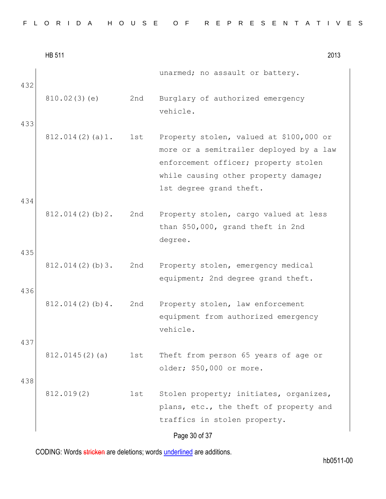|  |  |  |  |  |  |  |  |  |  |  |  |  | FLORIDA HOUSE OF REPRESENTATIVES |  |  |  |  |  |  |  |  |  |  |  |  |  |  |  |  |
|--|--|--|--|--|--|--|--|--|--|--|--|--|----------------------------------|--|--|--|--|--|--|--|--|--|--|--|--|--|--|--|--|
|--|--|--|--|--|--|--|--|--|--|--|--|--|----------------------------------|--|--|--|--|--|--|--|--|--|--|--|--|--|--|--|--|

|            | <b>HB 511</b>   |     | 2013                                                                                                                                                                                          |
|------------|-----------------|-----|-----------------------------------------------------------------------------------------------------------------------------------------------------------------------------------------------|
| 432        |                 |     | unarmed; no assault or battery.                                                                                                                                                               |
|            | 810.02(3)(e)    | 2nd | Burglary of authorized emergency<br>vehicle.                                                                                                                                                  |
| 433        | 812.014(2)(a)1. | 1st | Property stolen, valued at \$100,000 or<br>more or a semitrailer deployed by a law<br>enforcement officer; property stolen<br>while causing other property damage;<br>1st degree grand theft. |
| 434        | 812.014(2)(b)2. | 2nd | Property stolen, cargo valued at less<br>than \$50,000, grand theft in 2nd<br>degree.                                                                                                         |
| 435        | 812.014(2)(b)3. | 2nd | Property stolen, emergency medical<br>equipment; 2nd degree grand theft.                                                                                                                      |
| 436        | 812.014(2)(b)4. | 2nd | Property stolen, law enforcement<br>equipment from authorized emergency<br>vehicle.                                                                                                           |
| 437<br>438 | 812.0145(2)(a)  | 1st | Theft from person 65 years of age or<br>older; \$50,000 or more.                                                                                                                              |
|            | 812.019(2)      | 1st | Stolen property; initiates, organizes,<br>plans, etc., the theft of property and<br>traffics in stolen property.<br>Page 30 of 37                                                             |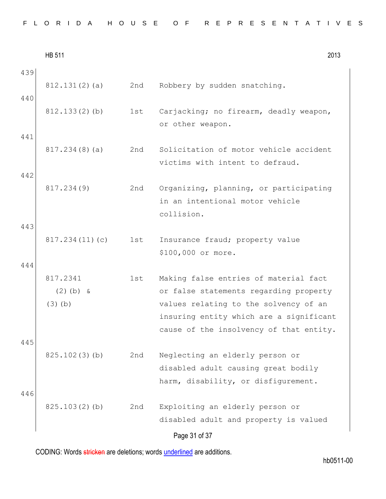|  |  |  |  |  |  |  |  |  | FLORIDA HOUSE OF REPRESENTATIVES |  |
|--|--|--|--|--|--|--|--|--|----------------------------------|--|
|--|--|--|--|--|--|--|--|--|----------------------------------|--|

|            | <b>HB 511</b>                        |     | 2013                                                                                                                                                                                                           |
|------------|--------------------------------------|-----|----------------------------------------------------------------------------------------------------------------------------------------------------------------------------------------------------------------|
| 439<br>440 | 812.131(2)(a)                        | 2nd | Robbery by sudden snatching.                                                                                                                                                                                   |
|            | 812.133(2)(b)                        | 1st | Carjacking; no firearm, deadly weapon,<br>or other weapon.                                                                                                                                                     |
| 441        | 817.234(8)(a)                        | 2nd | Solicitation of motor vehicle accident<br>victims with intent to defraud.                                                                                                                                      |
| 442        | 817.234(9)                           | 2nd | Organizing, planning, or participating<br>in an intentional motor vehicle<br>collision.                                                                                                                        |
| 443<br>444 | 817.234(11)(c)                       | 1st | Insurance fraud; property value<br>\$100,000 or more.                                                                                                                                                          |
|            | 817.2341<br>$(2)$ (b) &<br>$(3)$ (b) | 1st | Making false entries of material fact<br>or false statements regarding property<br>values relating to the solvency of an<br>insuring entity which are a significant<br>cause of the insolvency of that entity. |
| 445        | 825.102(3)(b)                        | 2nd | Neglecting an elderly person or<br>disabled adult causing great bodily<br>harm, disability, or disfigurement.                                                                                                  |
| 446        | 825.103(2)(b)                        | 2nd | Exploiting an elderly person or<br>disabled adult and property is valued<br>Page 31 of 37                                                                                                                      |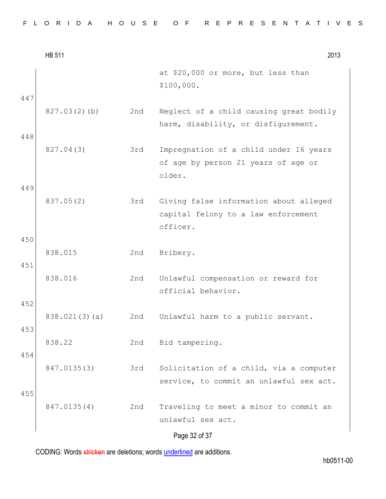|  |  |  |  |  |  |  |  |  | FLORIDA HOUSE OF REPRESENTATIVES |  |  |  |  |  |  |  |  |  |  |  |  |  |  |  |  |  |  |  |  |  |  |  |
|--|--|--|--|--|--|--|--|--|----------------------------------|--|--|--|--|--|--|--|--|--|--|--|--|--|--|--|--|--|--|--|--|--|--|--|
|--|--|--|--|--|--|--|--|--|----------------------------------|--|--|--|--|--|--|--|--|--|--|--|--|--|--|--|--|--|--|--|--|--|--|--|

|     | <b>HB 511</b> |     | 2013                                                                                      |
|-----|---------------|-----|-------------------------------------------------------------------------------------------|
|     |               |     | at \$20,000 or more, but less than<br>\$100,000.                                          |
| 447 | 827.03(2)(b)  | 2nd | Neglect of a child causing great bodily<br>harm, disability, or disfigurement.            |
| 448 | 827.04(3)     | 3rd | Impregnation of a child under 16 years<br>of age by person 21 years of age or<br>older.   |
| 449 |               |     |                                                                                           |
|     | 837.05(2)     | 3rd | Giving false information about alleged<br>capital felony to a law enforcement<br>officer. |
| 450 |               |     |                                                                                           |
| 451 | 838.015       | 2nd | Bribery.                                                                                  |
|     | 838.016       | 2nd | Unlawful compensation or reward for<br>official behavior.                                 |
| 452 | 838.021(3)(a) | 2nd | Unlawful harm to a public servant.                                                        |
| 453 |               |     |                                                                                           |
|     | 838.22        | 2nd | Bid tampering.                                                                            |
| 454 | 847.0135(3)   | 3rd | Solicitation of a child, via a computer<br>service, to commit an unlawful sex act.        |
| 455 | 847.0135(4)   | 2nd | Traveling to meet a minor to commit an<br>unlawful sex act.                               |
|     |               |     | Page 32 of 37                                                                             |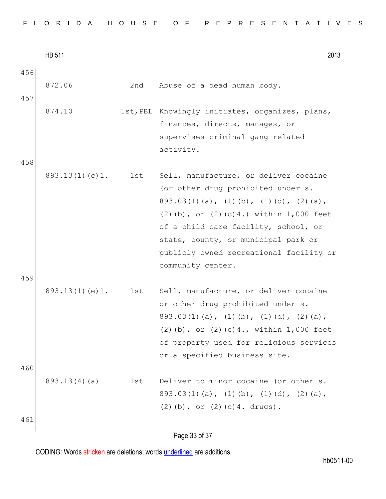|  |  |  |  |  |  |  |  |  |  | FLORIDA HOUSE OF REPRESENTATIVES |  |  |  |  |  |  |  |  |  |  |  |  |  |  |  |  |
|--|--|--|--|--|--|--|--|--|--|----------------------------------|--|--|--|--|--|--|--|--|--|--|--|--|--|--|--|--|
|--|--|--|--|--|--|--|--|--|--|----------------------------------|--|--|--|--|--|--|--|--|--|--|--|--|--|--|--|--|

|     | <b>HB 511</b>  |     | 2013                                                                                                                                                                                                                                                                                                                             |
|-----|----------------|-----|----------------------------------------------------------------------------------------------------------------------------------------------------------------------------------------------------------------------------------------------------------------------------------------------------------------------------------|
| 456 |                |     |                                                                                                                                                                                                                                                                                                                                  |
| 457 | 872.06         | 2nd | Abuse of a dead human body.                                                                                                                                                                                                                                                                                                      |
| 458 | 874.10         |     | 1st, PBL Knowingly initiates, organizes, plans,<br>finances, directs, manages, or<br>supervises criminal gang-related<br>activity.                                                                                                                                                                                               |
| 459 | 893.13(1)(c)1. | 1st | Sell, manufacture, or deliver cocaine<br>(or other drug prohibited under s.<br>$893.03(1)(a)$ , $(1)(b)$ , $(1)(d)$ , $(2)(a)$ ,<br>$(2)$ (b), or $(2)$ (c) 4.) within 1,000 feet<br>of a child care facility, school, or<br>state, county, or municipal park or<br>publicly owned recreational facility or<br>community center. |
| 460 | 893.13(1)(e)1. | 1st | Sell, manufacture, or deliver cocaine<br>or other drug prohibited under s.<br>$893.03(1)(a)$ , $(1)(b)$ , $(1)(d)$ , $(2)(a)$ ,<br>$(2)$ (b), or $(2)$ (c) 4., within 1,000 feet<br>of property used for religious services<br>or a specified business site.                                                                     |
|     | 893.13(4)(a)   | 1st | Deliver to minor cocaine (or other s.<br>$893.03(1)(a)$ , $(1)(b)$ , $(1)(d)$ , $(2)(a)$ ,<br>$(2)$ (b), or $(2)$ (c) 4. drugs).                                                                                                                                                                                                 |
| 461 |                |     |                                                                                                                                                                                                                                                                                                                                  |

# Page 33 of 37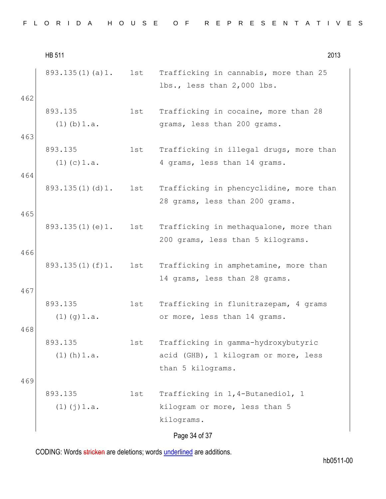|  |  | FLORIDA HOUSE OF REPRESENTATIVES |
|--|--|----------------------------------|
|--|--|----------------------------------|

HB 511 2013 Page 34 of 37 893.135(1)(a)1. 1st Trafficking in cannabis, more than 25 lbs., less than 2,000 lbs. 462 893.135  $(1)$  $(b)$  $1.a.$ 1st Trafficking in cocaine, more than 28 grams, less than 200 grams. 463 893.135 (1)(c)1.a. 1st Trafficking in illegal drugs, more than 4 grams, less than 14 grams. 464 893.135(1)(d)1. 1st Trafficking in phencyclidine, more than 28 grams, less than 200 grams. 465 893.135(1)(e)1. 1st Trafficking in methaqualone, more than 200 grams, less than 5 kilograms. 466 893.135(1)(f)1. 1st Trafficking in amphetamine, more than 14 grams, less than 28 grams. 467 893.135  $(1)(q)1.a.$ 1st Trafficking in flunitrazepam, 4 grams or more, less than 14 grams. 468 893.135  $(1)$  (h)  $1.a.$ 1st Trafficking in gamma-hydroxybutyric acid (GHB), 1 kilogram or more, less than 5 kilograms. 469 893.135  $(1)(j)1.a.$ 1st Trafficking in 1,4-Butanediol, 1 kilogram or more, less than 5 kilograms.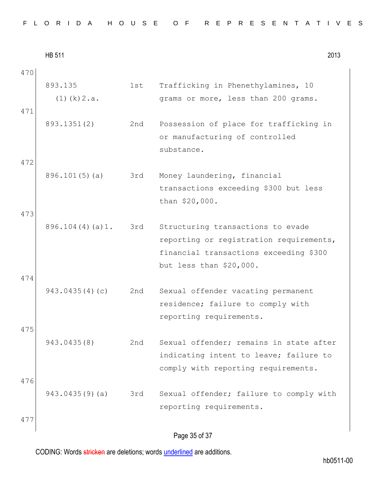| FLORIDA HOUSE OF REPRESENTATIVES |  |  |  |
|----------------------------------|--|--|--|
|----------------------------------|--|--|--|

|     | <b>HB 511</b>               |     | 2013                                                                                                                                              |
|-----|-----------------------------|-----|---------------------------------------------------------------------------------------------------------------------------------------------------|
| 470 |                             |     |                                                                                                                                                   |
| 471 | 893.135<br>$(1)$ (k) $2.a.$ | 1st | Trafficking in Phenethylamines, 10<br>grams or more, less than 200 grams.                                                                         |
| 472 | 893.1351(2)                 | 2nd | Possession of place for trafficking in<br>or manufacturing of controlled<br>substance.                                                            |
| 473 | 896.101(5)(a)               | 3rd | Money laundering, financial<br>transactions exceeding \$300 but less<br>than \$20,000.                                                            |
| 474 | 896.104(4)(a)1.             | 3rd | Structuring transactions to evade<br>reporting or registration requirements,<br>financial transactions exceeding \$300<br>but less than \$20,000. |
| 475 | 943.0435(4)(c)              | 2nd | Sexual offender vacating permanent<br>residence; failure to comply with<br>reporting requirements.                                                |
| 476 | 943.0435(8)                 | 2nd | Sexual offender; remains in state after<br>indicating intent to leave; failure to<br>comply with reporting requirements.                          |
| 477 | 943.0435(9)(a)              | 3rd | Sexual offender; failure to comply with<br>reporting requirements.                                                                                |
|     |                             |     | Page 35 of 37                                                                                                                                     |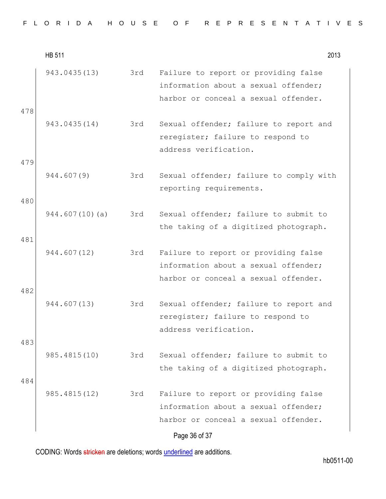|  |  |  |  |  |  |  |  | FLORIDA HOUSE OF REPRESENTATIVES |  |  |  |  |  |  |  |  |  |  |  |  |  |  |  |  |  |  |  |  |  |  |  |  |  |
|--|--|--|--|--|--|--|--|----------------------------------|--|--|--|--|--|--|--|--|--|--|--|--|--|--|--|--|--|--|--|--|--|--|--|--|--|
|--|--|--|--|--|--|--|--|----------------------------------|--|--|--|--|--|--|--|--|--|--|--|--|--|--|--|--|--|--|--|--|--|--|--|--|--|

|            | <b>HB 511</b>  |     | 2013                                                                                                                                  |
|------------|----------------|-----|---------------------------------------------------------------------------------------------------------------------------------------|
| 478        | 943.0435(13)   | 3rd | Failure to report or providing false<br>information about a sexual offender;<br>harbor or conceal a sexual offender.                  |
| 479        | 943.0435(14)   | 3rd | Sexual offender; failure to report and<br>reregister; failure to respond to<br>address verification.                                  |
|            | 944.607(9)     | 3rd | Sexual offender; failure to comply with<br>reporting requirements.                                                                    |
| 480        | 944.607(10)(a) | 3rd | Sexual offender; failure to submit to<br>the taking of a digitized photograph.                                                        |
| 481        | 944.607(12)    | 3rd | Failure to report or providing false<br>information about a sexual offender;<br>harbor or conceal a sexual offender.                  |
| 482        | 944.607(13)    | 3rd | Sexual offender; failure to report and<br>reregister; failure to respond to<br>address verification.                                  |
| 483<br>484 | 985.4815(10)   | 3rd | Sexual offender; failure to submit to<br>the taking of a digitized photograph.                                                        |
|            | 985.4815(12)   | 3rd | Failure to report or providing false<br>information about a sexual offender;<br>harbor or conceal a sexual offender.<br>Page 36 of 37 |